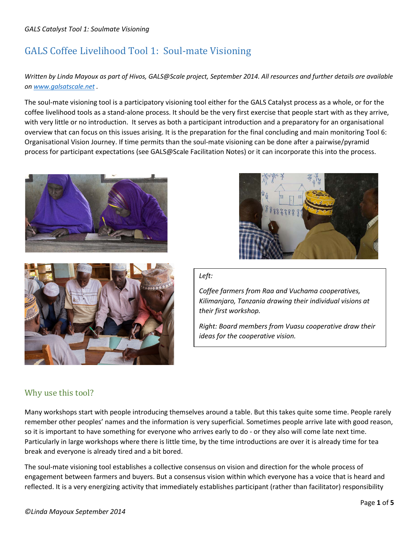# GALS Coffee Livelihood Tool 1: Soul-mate Visioning

## *Written by Linda Mayoux as part of Hivos, GALS@Scale project, September 2014. All resources and further details are available on [www.galsatscale.net](http://www.galsatscale.net/) .*

The soul-mate visioning tool is a participatory visioning tool either for the GALS Catalyst process as a whole, or for the coffee livelihood tools as a stand-alone process. It should be the very first exercise that people start with as they arrive, with very little or no introduction. It serves as both a participant introduction and a preparatory for an organisational overview that can focus on this issues arising. It is the preparation for the final concluding and main monitoring Tool 6: Organisational Vision Journey. If time permits than the soul-mate visioning can be done after a pairwise/pyramid process for participant expectations (see GALS@Scale Facilitation Notes) or it can incorporate this into the process.







#### *Left:*

*Coffee farmers from Raa and Vuchama cooperatives, Kilimanjaro, Tanzania drawing their individual visions at their first workshop.*

*Right: Board members from Vuasu cooperative draw their ideas for the cooperative vision.*

# Why use this tool?

Many workshops start with people introducing themselves around a table. But this takes quite some time. People rarely remember other peoples' names and the information is very superficial. Sometimes people arrive late with good reason, so it is important to have something for everyone who arrives early to do - or they also will come late next time. Particularly in large workshops where there is little time, by the time introductions are over it is already time for tea break and everyone is already tired and a bit bored.

The soul-mate visioning tool establishes a collective consensus on vision and direction for the whole process of engagement between farmers and buyers. But a consensus vision within which everyone has a voice that is heard and reflected. It is a very energizing activity that immediately establishes participant (rather than facilitator) responsibility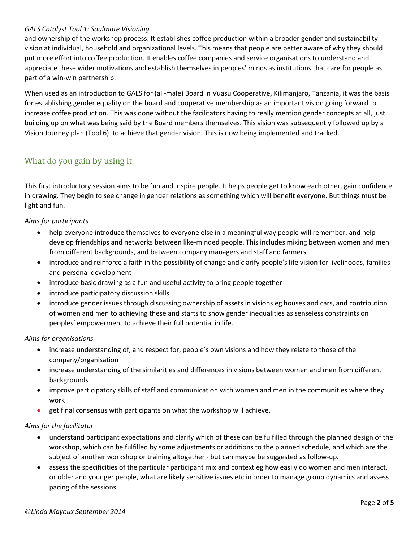#### *GALS Catalyst Tool 1: Soulmate Visioning*

and ownership of the workshop process. It establishes coffee production within a broader gender and sustainability vision at individual, household and organizational levels. This means that people are better aware of why they should put more effort into coffee production. It enables coffee companies and service organisations to understand and appreciate these wider motivations and establish themselves in peoples' minds as institutions that care for people as part of a win-win partnership.

When used as an introduction to GALS for (all-male) Board in Vuasu Cooperative, Kilimanjaro, Tanzania, it was the basis for establishing gender equality on the board and cooperative membership as an important vision going forward to increase coffee production. This was done without the facilitators having to really mention gender concepts at all, just building up on what was being said by the Board members themselves. This vision was subsequently followed up by a Vision Journey plan (Tool 6) to achieve that gender vision. This is now being implemented and tracked.

# What do you gain by using it

This first introductory session aims to be fun and inspire people. It helps people get to know each other, gain confidence in drawing. They begin to see change in gender relations as something which will benefit everyone. But things must be light and fun.

#### *Aims for participants*

- help everyone introduce themselves to everyone else in a meaningful way people will remember, and help develop friendships and networks between like-minded people. This includes mixing between women and men from different backgrounds, and between company managers and staff and farmers
- introduce and reinforce a faith in the possibility of change and clarify people's life vision for livelihoods, families and personal development
- introduce basic drawing as a fun and useful activity to bring people together
- introduce participatory discussion skills
- introduce gender issues through discussing ownership of assets in visions eg houses and cars, and contribution of women and men to achieving these and starts to show gender inequalities as senseless constraints on peoples' empowerment to achieve their full potential in life.

#### *Aims for organisations*

- increase understanding of, and respect for, people's own visions and how they relate to those of the company/organisation
- increase understanding of the similarities and differences in visions between women and men from different backgrounds
- improve participatory skills of staff and communication with women and men in the communities where they work
- get final consensus with participants on what the workshop will achieve.

#### *Aims for the facilitator*

- understand participant expectations and clarify which of these can be fulfilled through the planned design of the workshop, which can be fulfilled by some adjustments or additions to the planned schedule, and which are the subject of another workshop or training altogether - but can maybe be suggested as follow-up.
- assess the specificities of the particular participant mix and context eg how easily do women and men interact, or older and younger people, what are likely sensitive issues etc in order to manage group dynamics and assess pacing of the sessions.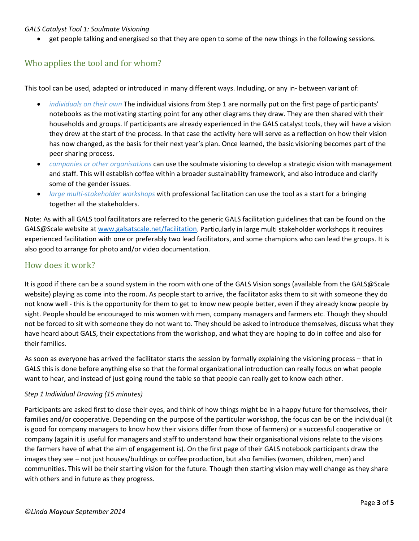#### *GALS Catalyst Tool 1: Soulmate Visioning*

• get people talking and energised so that they are open to some of the new things in the following sessions.

# Who applies the tool and for whom?

This tool can be used, adapted or introduced in many different ways. Including, or any in- between variant of:

- *individuals on their own* The individual visions from Step 1 are normally put on the first page of participants' notebooks as the motivating starting point for any other diagrams they draw. They are then shared with their households and groups. If participants are already experienced in the GALS catalyst tools, they will have a vision they drew at the start of the process. In that case the activity here will serve as a reflection on how their vision has now changed, as the basis for their next year's plan. Once learned, the basic visioning becomes part of the peer sharing process.
- *companies or other organisations* can use the soulmate visioning to develop a strategic vision with management and staff. This will establish coffee within a broader sustainability framework, and also introduce and clarify some of the gender issues.
- *large multi-stakeholder workshops* with professional facilitation can use the tool as a start for a bringing together all the stakeholders.

Note: As with all GALS tool facilitators are referred to the generic GALS facilitation guidelines that can be found on the GALS@Scale website at [www.galsatscale.net/facilitation.](http://www.galsatscale.net/facilitation) Particularly in large multi stakeholder workshops it requires experienced facilitation with one or preferably two lead facilitators, and some champions who can lead the groups. It is also good to arrange for photo and/or video documentation.

## How does it work?

It is good if there can be a sound system in the room with one of the GALS Vision songs (available from the GALS@Scale website) playing as come into the room. As people start to arrive, the facilitator asks them to sit with someone they do not know well - this is the opportunity for them to get to know new people better, even if they already know people by sight. People should be encouraged to mix women with men, company managers and farmers etc. Though they should not be forced to sit with someone they do not want to. They should be asked to introduce themselves, discuss what they have heard about GALS, their expectations from the workshop, and what they are hoping to do in coffee and also for their families.

As soon as everyone has arrived the facilitator starts the session by formally explaining the visioning process – that in GALS this is done before anything else so that the formal organizational introduction can really focus on what people want to hear, and instead of just going round the table so that people can really get to know each other.

#### *Step 1 Individual Drawing (15 minutes)*

Participants are asked first to close their eyes, and think of how things might be in a happy future for themselves, their families and/or cooperative. Depending on the purpose of the particular workshop, the focus can be on the individual (it is good for company managers to know how their visions differ from those of farmers) or a successful cooperative or company (again it is useful for managers and staff to understand how their organisational visions relate to the visions the farmers have of what the aim of engagement is). On the first page of their GALS notebook participants draw the images they see – not just houses/buildings or coffee production, but also families (women, children, men) and communities. This will be their starting vision for the future. Though then starting vision may well change as they share with others and in future as they progress.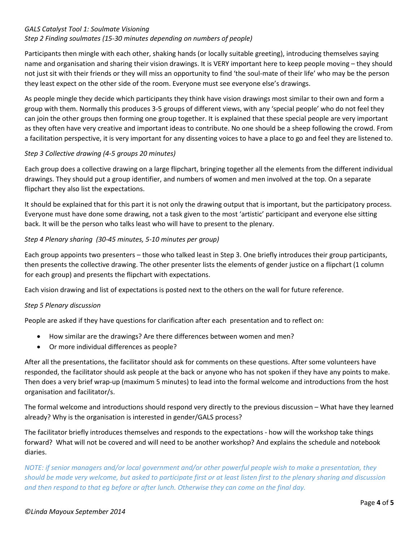#### *GALS Catalyst Tool 1: Soulmate Visioning*

#### *Step 2 Finding soulmates (15-30 minutes depending on numbers of people)*

Participants then mingle with each other, shaking hands (or locally suitable greeting), introducing themselves saying name and organisation and sharing their vision drawings. It is VERY important here to keep people moving – they should not just sit with their friends or they will miss an opportunity to find 'the soul-mate of their life' who may be the person they least expect on the other side of the room. Everyone must see everyone else's drawings.

As people mingle they decide which participants they think have vision drawings most similar to their own and form a group with them. Normally this produces 3-5 groups of different views, with any 'special people' who do not feel they can join the other groups then forming one group together. It is explained that these special people are very important as they often have very creative and important ideas to contribute. No one should be a sheep following the crowd. From a facilitation perspective, it is very important for any dissenting voices to have a place to go and feel they are listened to.

#### *Step 3 Collective drawing (4-5 groups 20 minutes)*

Each group does a collective drawing on a large flipchart, bringing together all the elements from the different individual drawings. They should put a group identifier, and numbers of women and men involved at the top. On a separate flipchart they also list the expectations.

It should be explained that for this part it is not only the drawing output that is important, but the participatory process. Everyone must have done some drawing, not a task given to the most 'artistic' participant and everyone else sitting back. It will be the person who talks least who will have to present to the plenary.

#### *Step 4 Plenary sharing (30-45 minutes, 5-10 minutes per group)*

Each group appoints two presenters – those who talked least in Step 3. One briefly introduces their group participants, then presents the collective drawing. The other presenter lists the elements of gender justice on a flipchart (1 column for each group) and presents the flipchart with expectations.

Each vision drawing and list of expectations is posted next to the others on the wall for future reference.

#### *Step 5 Plenary discussion*

People are asked if they have questions for clarification after each presentation and to reflect on:

- How similar are the drawings? Are there differences between women and men?
- Or more individual differences as people?

After all the presentations, the facilitator should ask for comments on these questions. After some volunteers have responded, the facilitator should ask people at the back or anyone who has not spoken if they have any points to make. Then does a very brief wrap-up (maximum 5 minutes) to lead into the formal welcome and introductions from the host organisation and facilitator/s.

The formal welcome and introductions should respond very directly to the previous discussion – What have they learned already? Why is the organisation is interested in gender/GALS process?

The facilitator briefly introduces themselves and responds to the expectations - how will the workshop take things forward? What will not be covered and will need to be another workshop? And explains the schedule and notebook diaries.

*NOTE: if senior managers and/or local government and/or other powerful people wish to make a presentation, they should be made very welcome, but asked to participate first or at least listen first to the plenary sharing and discussion and then respond to that eg before or after lunch. Otherwise they can come on the final day.*